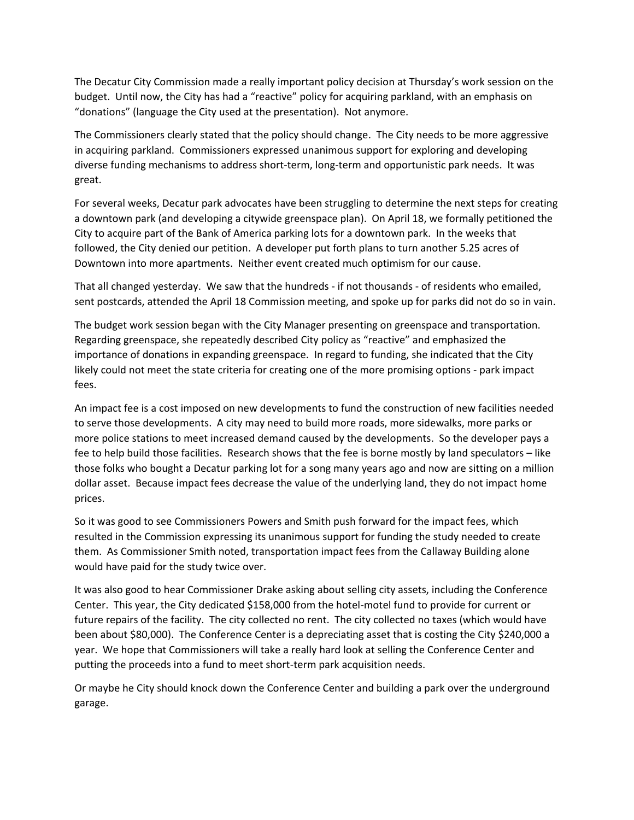The Decatur City Commission made a really important policy decision at Thursday's work session on the budget. Until now, the City has had a "reactive" policy for acquiring parkland, with an emphasis on "donations" (language the City used at the presentation). Not anymore.

The Commissioners clearly stated that the policy should change. The City needs to be more aggressive in acquiring parkland. Commissioners expressed unanimous support for exploring and developing diverse funding mechanisms to address short-term, long-term and opportunistic park needs. It was great.

For several weeks, Decatur park advocates have been struggling to determine the next steps for creating a downtown park (and developing a citywide greenspace plan). On April 18, we formally petitioned the City to acquire part of the Bank of America parking lots for a downtown park. In the weeks that followed, the City denied our petition. A developer put forth plans to turn another 5.25 acres of Downtown into more apartments. Neither event created much optimism for our cause.

That all changed yesterday. We saw that the hundreds - if not thousands - of residents who emailed, sent postcards, attended the April 18 Commission meeting, and spoke up for parks did not do so in vain.

The budget work session began with the City Manager presenting on greenspace and transportation. Regarding greenspace, she repeatedly described City policy as "reactive" and emphasized the importance of donations in expanding greenspace. In regard to funding, she indicated that the City likely could not meet the state criteria for creating one of the more promising options - park impact fees.

An impact fee is a cost imposed on new developments to fund the construction of new facilities needed to serve those developments. A city may need to build more roads, more sidewalks, more parks or more police stations to meet increased demand caused by the developments. So the developer pays a fee to help build those facilities. Research shows that the fee is borne mostly by land speculators – like those folks who bought a Decatur parking lot for a song many years ago and now are sitting on a million dollar asset. Because impact fees decrease the value of the underlying land, they do not impact home prices.

So it was good to see Commissioners Powers and Smith push forward for the impact fees, which resulted in the Commission expressing its unanimous support for funding the study needed to create them. As Commissioner Smith noted, transportation impact fees from the Callaway Building alone would have paid for the study twice over.

It was also good to hear Commissioner Drake asking about selling city assets, including the Conference Center. This year, the City dedicated \$158,000 from the hotel-motel fund to provide for current or future repairs of the facility. The city collected no rent. The city collected no taxes (which would have been about \$80,000). The Conference Center is a depreciating asset that is costing the City \$240,000 a year. We hope that Commissioners will take a really hard look at selling the Conference Center and putting the proceeds into a fund to meet short-term park acquisition needs.

Or maybe he City should knock down the Conference Center and building a park over the underground garage.